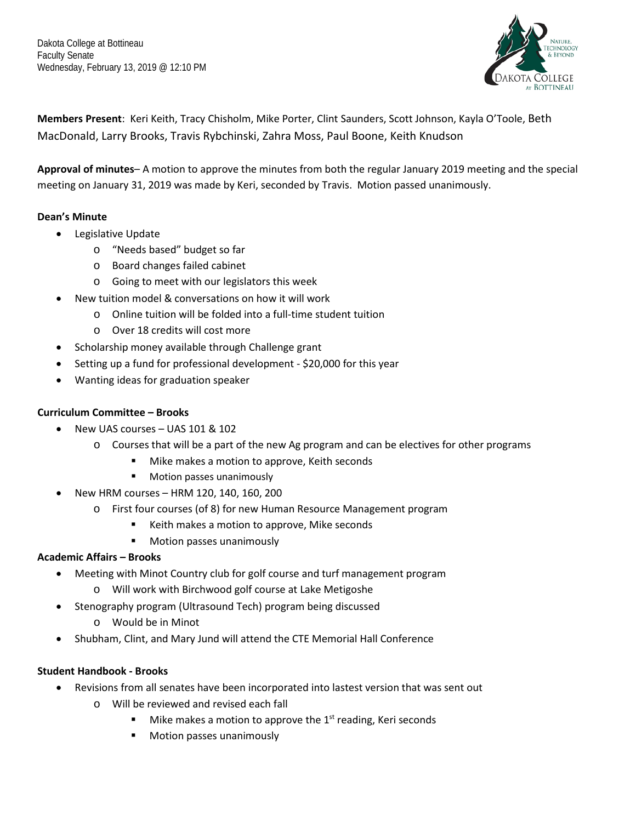

**Members Present**: Keri Keith, Tracy Chisholm, Mike Porter, Clint Saunders, Scott Johnson, Kayla O'Toole, Beth MacDonald, Larry Brooks, Travis Rybchinski, Zahra Moss, Paul Boone, Keith Knudson

**Approval of minutes**– A motion to approve the minutes from both the regular January 2019 meeting and the special meeting on January 31, 2019 was made by Keri, seconded by Travis. Motion passed unanimously.

# **Dean's Minute**

- Legislative Update
	- o "Needs based" budget so far
	- o Board changes failed cabinet
	- o Going to meet with our legislators this week
- New tuition model & conversations on how it will work
	- o Online tuition will be folded into a full-time student tuition
	- o Over 18 credits will cost more
- Scholarship money available through Challenge grant
- Setting up a fund for professional development \$20,000 for this year
- Wanting ideas for graduation speaker

# **Curriculum Committee – Brooks**

- New UAS courses UAS 101 & 102
	- $\circ$  Courses that will be a part of the new Ag program and can be electives for other programs
		- Mike makes a motion to approve, Keith seconds
		- **Notion passes unanimously**
- New HRM courses HRM 120, 140, 160, 200
	- o First four courses (of 8) for new Human Resource Management program
		- Keith makes a motion to approve, Mike seconds
		- **Motion passes unanimously**

# **Academic Affairs – Brooks**

- Meeting with Minot Country club for golf course and turf management program
	- o Will work with Birchwood golf course at Lake Metigoshe
- Stenography program (Ultrasound Tech) program being discussed
	- o Would be in Minot
- Shubham, Clint, and Mary Jund will attend the CTE Memorial Hall Conference

#### **Student Handbook - Brooks**

- Revisions from all senates have been incorporated into lastest version that was sent out
	- o Will be reviewed and revised each fall
		- $\blacksquare$  Mike makes a motion to approve the 1<sup>st</sup> reading, Keri seconds
		- **Motion passes unanimously**